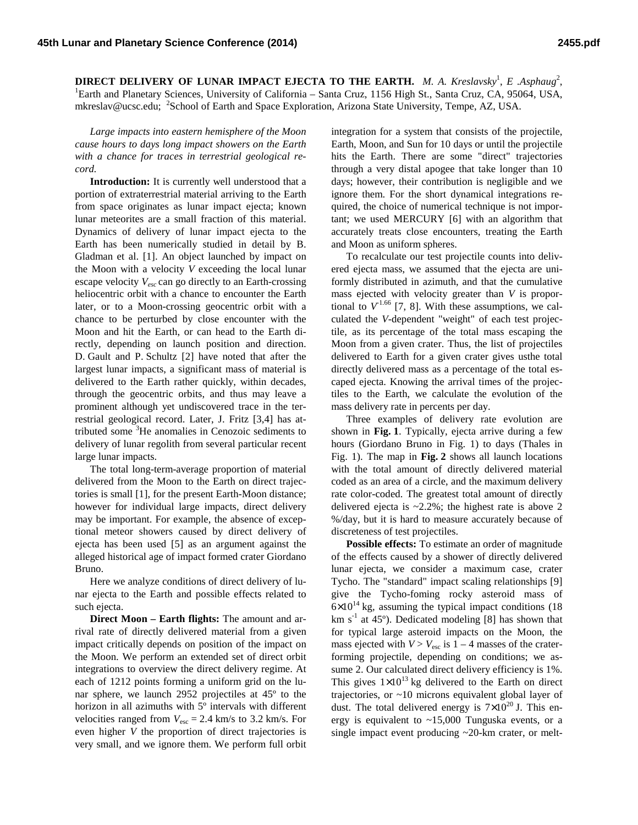**DIRECT DELIVERY OF LUNAR IMPACT EJECTA TO THE EARTH.** *M. A. Kreslavsky*<sup>1</sup> , *E .Asphaug*<sup>2</sup> , <sup>1</sup>Earth and Planetary Sciences, University of California – Santa Cruz, 1156 High St., Santa Cruz, CA, 95064, USA, mkreslav@ucsc.edu; <sup>2</sup>School of Earth and Space Exploration, Arizona State University, Tempe, AZ, USA.

*Large impacts into eastern hemisphere of the Moon cause hours to days long impact showers on the Earth with a chance for traces in terrestrial geological record.* 

**Introduction:** It is currently well understood that a portion of extraterrestrial material arriving to the Earth from space originates as lunar impact ejecta; known lunar meteorites are a small fraction of this material. Dynamics of delivery of lunar impact ejecta to the Earth has been numerically studied in detail by B. Gladman et al. [1]. An object launched by impact on the Moon with a velocity *V* exceeding the local lunar escape velocity *Vesc* can go directly to an Earth-crossing heliocentric orbit with a chance to encounter the Earth later, or to a Moon-crossing geocentric orbit with a chance to be perturbed by close encounter with the Moon and hit the Earth, or can head to the Earth directly, depending on launch position and direction. D. Gault and P. Schultz [2] have noted that after the largest lunar impacts, a significant mass of material is delivered to the Earth rather quickly, within decades, through the geocentric orbits, and thus may leave a prominent although yet undiscovered trace in the terrestrial geological record. Later, J. Fritz [3,4] has attributed some <sup>3</sup>He anomalies in Cenozoic sediments to delivery of lunar regolith from several particular recent large lunar impacts.

The total long-term-average proportion of material delivered from the Moon to the Earth on direct trajectories is small [1], for the present Earth-Moon distance; however for individual large impacts, direct delivery may be important. For example, the absence of exceptional meteor showers caused by direct delivery of ejecta has been used [5] as an argument against the alleged historical age of impact formed crater Giordano Bruno.

Here we analyze conditions of direct delivery of lunar ejecta to the Earth and possible effects related to such ejecta.

**Direct Moon – Earth flights:** The amount and arrival rate of directly delivered material from a given impact critically depends on position of the impact on the Moon. We perform an extended set of direct orbit integrations to overview the direct delivery regime. At each of 1212 points forming a uniform grid on the lunar sphere, we launch 2952 projectiles at 45º to the horizon in all azimuths with 5<sup>°</sup> intervals with different velocities ranged from  $V_{\text{esc}} = 2.4 \text{ km/s}$  to 3.2 km/s. For even higher *V* the proportion of direct trajectories is very small, and we ignore them. We perform full orbit

integration for a system that consists of the projectile, Earth, Moon, and Sun for 10 days or until the projectile hits the Earth. There are some "direct" trajectories through a very distal apogee that take longer than 10 days; however, their contribution is negligible and we ignore them. For the short dynamical integrations required, the choice of numerical technique is not important; we used MERCURY [6] with an algorithm that accurately treats close encounters, treating the Earth and Moon as uniform spheres.

To recalculate our test projectile counts into delivered ejecta mass, we assumed that the ejecta are uniformly distributed in azimuth, and that the cumulative mass ejected with velocity greater than *V* is proportional to  $V^{1.66}$  [7, 8]. With these assumptions, we calculated the *V*-dependent "weight" of each test projectile, as its percentage of the total mass escaping the Moon from a given crater. Thus, the list of projectiles delivered to Earth for a given crater gives usthe total directly delivered mass as a percentage of the total escaped ejecta. Knowing the arrival times of the projectiles to the Earth, we calculate the evolution of the mass delivery rate in percents per day.

Three examples of delivery rate evolution are shown in **Fig. 1**. Typically, ejecta arrive during a few hours (Giordano Bruno in Fig. 1) to days (Thales in Fig. 1). The map in **Fig. 2** shows all launch locations with the total amount of directly delivered material coded as an area of a circle, and the maximum delivery rate color-coded. The greatest total amount of directly delivered ejecta is  $\sim$  2.2%; the highest rate is above 2 %/day, but it is hard to measure accurately because of discreteness of test projectiles.

**Possible effects:** To estimate an order of magnitude of the effects caused by a shower of directly delivered lunar ejecta, we consider a maximum case, crater Tycho. The "standard" impact scaling relationships [9] give the Tycho-foming rocky asteroid mass of  $6\times10^{14}$  kg, assuming the typical impact conditions (18) km  $s^{-1}$  at 45°). Dedicated modeling [8] has shown that for typical large asteroid impacts on the Moon, the mass ejected with  $V > V_{\text{esc}}$  is  $1 - 4$  masses of the craterforming projectile, depending on conditions; we assume 2. Our calculated direct delivery efficiency is 1%. This gives  $1\times10^{13}$  kg delivered to the Earth on direct trajectories, or  $\sim$ 10 microns equivalent global layer of dust. The total delivered energy is  $7\times10^{20}$  J. This energy is equivalent to ~15,000 Tunguska events, or a single impact event producing ~20-km crater, or melt